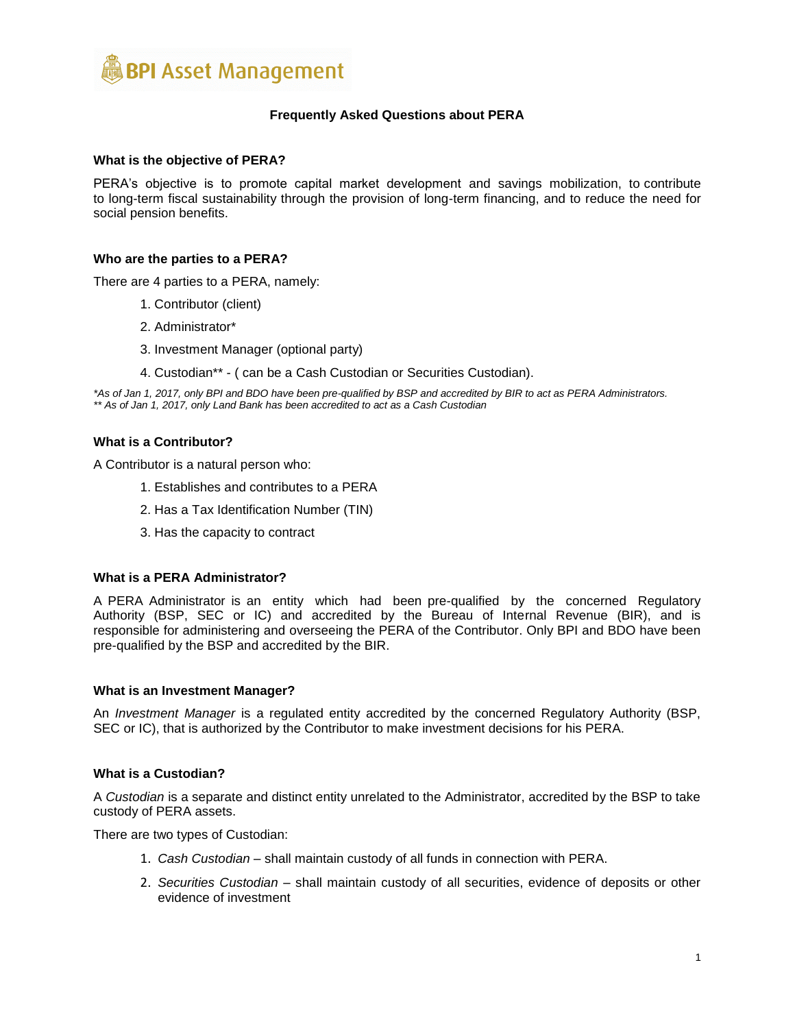

# **Frequently Asked Questions about PERA**

### **What is the objective of PERA?**

PERA's objective is to promote capital market development and savings mobilization, to contribute to long-term fiscal sustainability through the provision of long-term financing, and to reduce the need for social pension benefits.

## **Who are the parties to a PERA?**

There are 4 parties to a PERA, namely:

- 1. Contributor (client)
- 2. Administrator\*
- 3. Investment Manager (optional party)
- 4. Custodian\*\* ( can be a Cash Custodian or Securities Custodian).

*\*As of Jan 1, 2017, only BPI and BDO have been pre-qualified by BSP and accredited by BIR to act as PERA Administrators. \*\* As of Jan 1, 2017, only Land Bank has been accredited to act as a Cash Custodian*

### **What is a Contributor?**

A Contributor is a natural person who:

- 1. Establishes and contributes to a PERA
- 2. Has a Tax Identification Number (TIN)
- 3. Has the capacity to contract

# **What is a PERA Administrator?**

A PERA Administrator is an entity which had been pre-qualified by the concerned Regulatory Authority (BSP, SEC or IC) and accredited by the Bureau of Internal Revenue (BIR), and is responsible for administering and overseeing the PERA of the Contributor. Only BPI and BDO have been pre-qualified by the BSP and accredited by the BIR.

#### **What is an Investment Manager?**

An *Investment Manager* is a regulated entity accredited by the concerned Regulatory Authority (BSP, SEC or IC), that is authorized by the Contributor to make investment decisions for his PERA.

#### **What is a Custodian?**

A *Custodian* is a separate and distinct entity unrelated to the Administrator, accredited by the BSP to take custody of PERA assets.

There are two types of Custodian:

- 1. *Cash Custodian*  shall maintain custody of all funds in connection with PERA.
- 2. *Securities Custodian*  shall maintain custody of all securities, evidence of deposits or other evidence of investment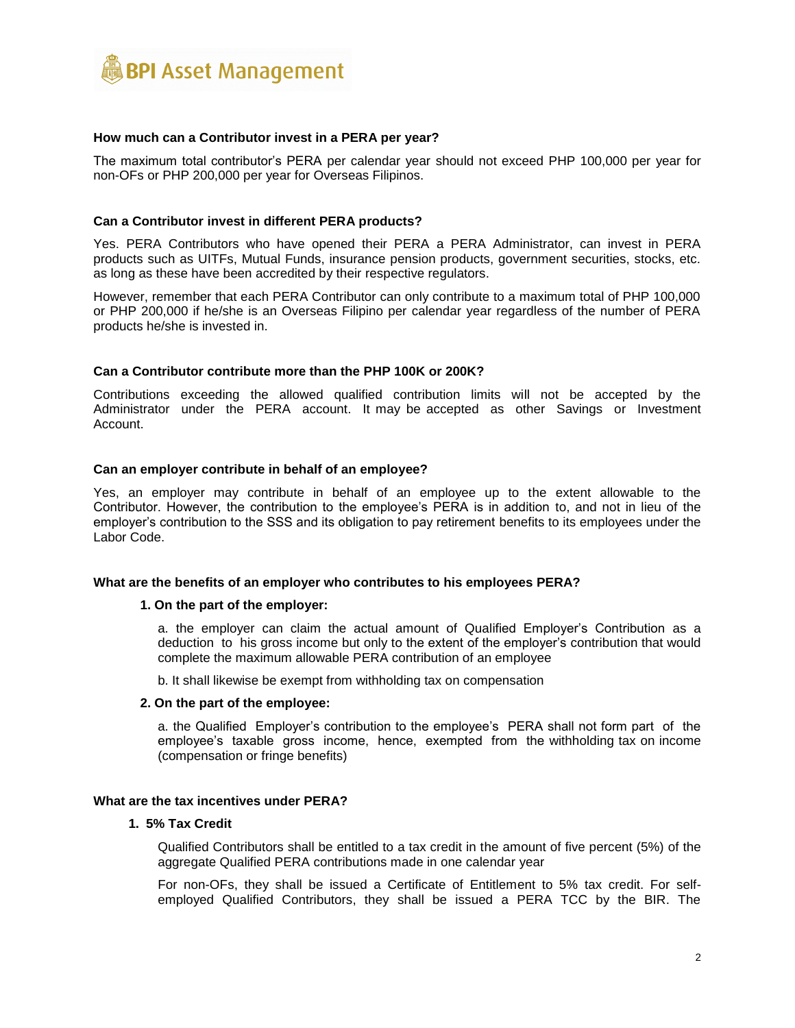

#### **How much can a Contributor invest in a PERA per year?**

The maximum total contributor's PERA per calendar year should not exceed PHP 100,000 per year for non-OFs or PHP 200,000 per year for Overseas Filipinos.

# **Can a Contributor invest in different PERA products?**

Yes. PERA Contributors who have opened their PERA a PERA Administrator, can invest in PERA products such as UITFs, Mutual Funds, insurance pension products, government securities, stocks, etc. as long as these have been accredited by their respective regulators.

However, remember that each PERA Contributor can only contribute to a maximum total of PHP 100,000 or PHP 200,000 if he/she is an Overseas Filipino per calendar year regardless of the number of PERA products he/she is invested in.

### **Can a Contributor contribute more than the PHP 100K or 200K?**

Contributions exceeding the allowed qualified contribution limits will not be accepted by the Administrator under the PERA account. It may be accepted as other Savings or Investment Account.

#### **Can an employer contribute in behalf of an employee?**

Yes, an employer may contribute in behalf of an employee up to the extent allowable to the Contributor. However, the contribution to the employee's PERA is in addition to, and not in lieu of the employer's contribution to the SSS and its obligation to pay retirement benefits to its employees under the Labor Code.

#### **What are the benefits of an employer who contributes to his employees PERA?**

#### **1. On the part of the employer:**

a. the employer can claim the actual amount of Qualified Employer's Contribution as a deduction to his gross income but only to the extent of the employer's contribution that would complete the maximum allowable PERA contribution of an employee

b. It shall likewise be exempt from withholding tax on compensation

#### **2. On the part of the employee:**

a. the Qualified Employer's contribution to the employee's PERA shall not form part of the employee's taxable gross income, hence, exempted from the withholding tax on income (compensation or fringe benefits)

# **What are the tax incentives under PERA?**

### **1. 5% Tax Credit**

Qualified Contributors shall be entitled to a tax credit in the amount of five percent (5%) of the aggregate Qualified PERA contributions made in one calendar year

For non-OFs, they shall be issued a Certificate of Entitlement to 5% tax credit. For selfemployed Qualified Contributors, they shall be issued a PERA TCC by the BIR. The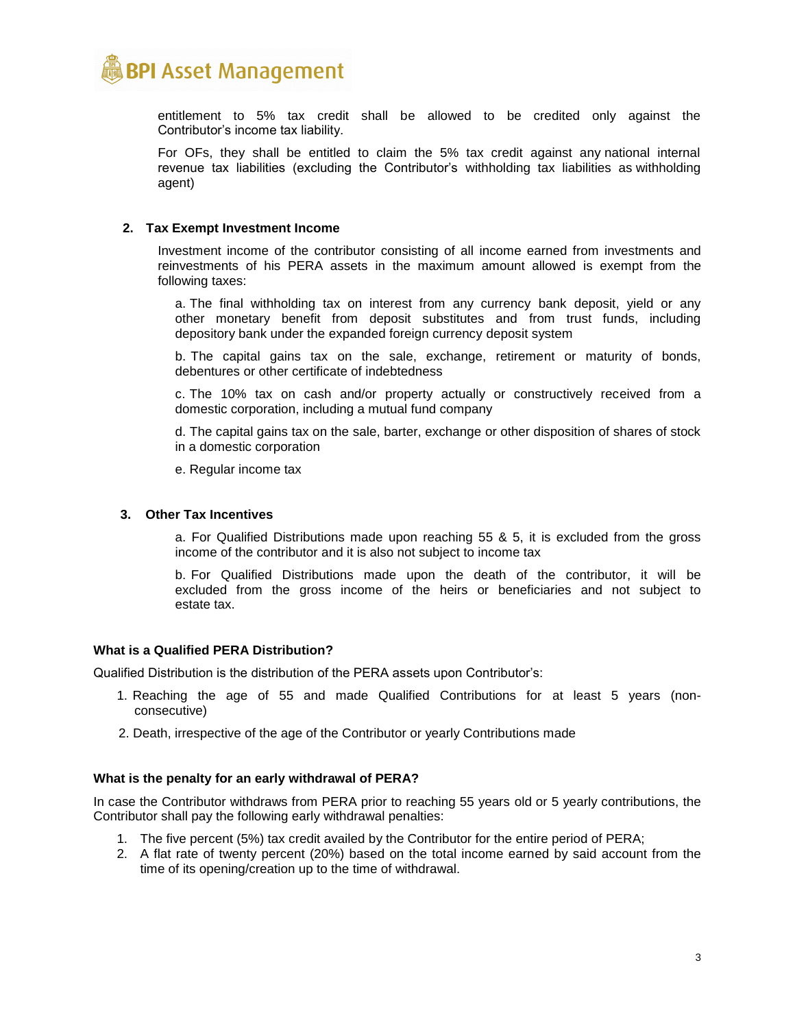

entitlement to 5% tax credit shall be allowed to be credited only against the Contributor's income tax liability.

For OFs, they shall be entitled to claim the 5% tax credit against any national internal revenue tax liabilities (excluding the Contributor's withholding tax liabilities as withholding agent)

## **2. Tax Exempt Investment Income**

Investment income of the contributor consisting of all income earned from investments and reinvestments of his PERA assets in the maximum amount allowed is exempt from the following taxes:

a. The final withholding tax on interest from any currency bank deposit, yield or any other monetary benefit from deposit substitutes and from trust funds, including depository bank under the expanded foreign currency deposit system

b. The capital gains tax on the sale, exchange, retirement or maturity of bonds, debentures or other certificate of indebtedness

c. The 10% tax on cash and/or property actually or constructively received from a domestic corporation, including a mutual fund company

d. The capital gains tax on the sale, barter, exchange or other disposition of shares of stock in a domestic corporation

e. Regular income tax

#### **3. Other Tax Incentives**

a. For Qualified Distributions made upon reaching 55 & 5, it is excluded from the gross income of the contributor and it is also not subject to income tax

b. For Qualified Distributions made upon the death of the contributor, it will be excluded from the gross income of the heirs or beneficiaries and not subject to estate tax.

# **What is a Qualified PERA Distribution?**

Qualified Distribution is the distribution of the PERA assets upon Contributor's:

- 1. Reaching the age of 55 and made Qualified Contributions for at least 5 years (nonconsecutive)
- 2. Death, irrespective of the age of the Contributor or yearly Contributions made

#### **What is the penalty for an early withdrawal of PERA?**

In case the Contributor withdraws from PERA prior to reaching 55 years old or 5 yearly contributions, the Contributor shall pay the following early withdrawal penalties:

- 1. The five percent (5%) tax credit availed by the Contributor for the entire period of PERA;
- 2. A flat rate of twenty percent (20%) based on the total income earned by said account from the time of its opening/creation up to the time of withdrawal.